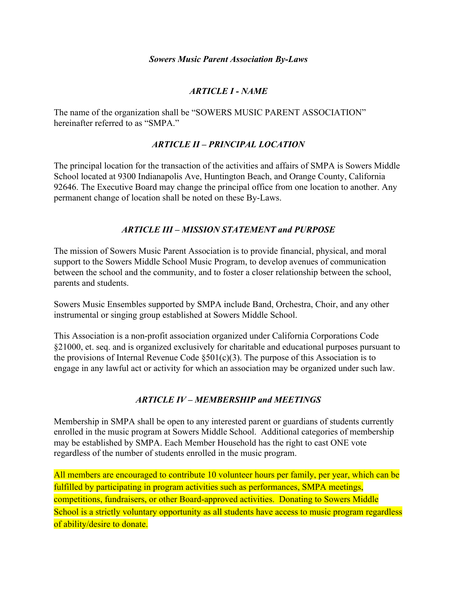### *ARTICLE I - NAME*

The name of the organization shall be "SOWERS MUSIC PARENT ASSOCIATION" hereinafter referred to as "SMPA."

### *ARTICLE II – PRINCIPAL LOCATION*

The principal location for the transaction of the activities and affairs of SMPA is Sowers Middle School located at 9300 Indianapolis Ave, Huntington Beach, and Orange County, California 92646. The Executive Board may change the principal office from one location to another. Any permanent change of location shall be noted on these By-Laws.

### *ARTICLE III – MISSION STATEMENT and PURPOSE*

The mission of Sowers Music Parent Association is to provide financial, physical, and moral support to the Sowers Middle School Music Program, to develop avenues of communication between the school and the community, and to foster a closer relationship between the school, parents and students.

Sowers Music Ensembles supported by SMPA include Band, Orchestra, Choir, and any other instrumental or singing group established at Sowers Middle School.

This Association is a non-profit association organized under California Corporations Code §21000, et. seq. and is organized exclusively for charitable and educational purposes pursuant to the provisions of Internal Revenue Code  $\S501(c)(3)$ . The purpose of this Association is to engage in any lawful act or activity for which an association may be organized under such law.

### *ARTICLE IV – MEMBERSHIP and MEETINGS*

Membership in SMPA shall be open to any interested parent or guardians of students currently enrolled in the music program at Sowers Middle School. Additional categories of membership may be established by SMPA. Each Member Household has the right to cast ONE vote regardless of the number of students enrolled in the music program.

All members are encouraged to contribute 10 volunteer hours per family, per year, which can be fulfilled by participating in program activities such as performances, SMPA meetings, competitions, fundraisers, or other Board-approved activities. Donating to Sowers Middle School is a strictly voluntary opportunity as all students have access to music program regardless of ability/desire to donate.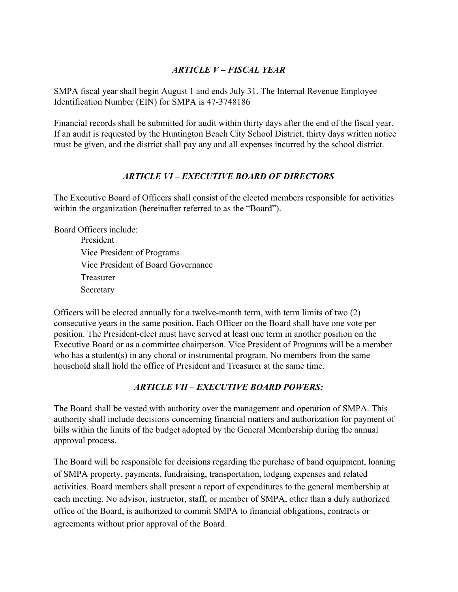### *ARTICLE V – FISCAL YEAR*

SMPA fiscal year shall begin August 1 and ends July 31. The Internal Revenue Employee Identification Number (EIN) for SMPA is 47-3748186

Financial records shall be submitted for audit within thirty days after the end of the fiscal year. If an audit is requested by the Huntington Beach City School District, thirty days written notice must be given, and the district shall pay any and all expenses incurred by the school district.

### *ARTICLE VI – EXECUTIVE BOARD OF DIRECTORS*

The Executive Board of Officers shall consist of the elected members responsible for activities within the organization (hereinafter referred to as the "Board").

Board Officers include: President

Vice President of Programs Vice President of Board Governance Treasurer Secretary

Officers will be elected annually for a twelve-month term, with term limits of two (2) consecutive years in the same position. Each Officer on the Board shall have one vote per position. The President-elect must have served at least one term in another position on the Executive Board or as a committee chairperson. Vice President of Programs will be a member who has a student(s) in any choral or instrumental program. No members from the same household shall hold the office of President and Treasurer at the same time.

## *ARTICLE VII – EXECUTIVE BOARD POWERS:*

The Board shall be vested with authority over the management and operation of SMPA. This authority shall include decisions concerning financial matters and authorization for payment of bills within the limits of the budget adopted by the General Membership during the annual approval process.

The Board will be responsible for decisions regarding the purchase of band equipment, loaning of SMPA property, payments, fundraising, transportation, lodging expenses and related activities. Board members shall present a report of expenditures to the general membership at each meeting. No advisor, instructor, staff, or member of SMPA, other than a duly authorized office of the Board, is authorized to commit SMPA to financial obligations, contracts or agreements without prior approval of the Board.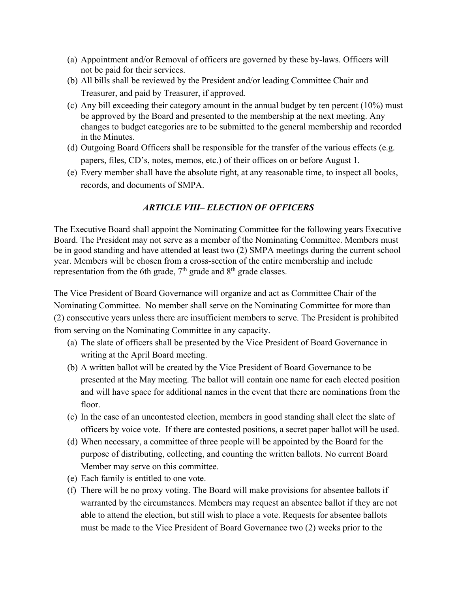- (a) Appointment and/or Removal of officers are governed by these by-laws. Officers will not be paid for their services.
- (b) All bills shall be reviewed by the President and/or leading Committee Chair and Treasurer, and paid by Treasurer, if approved.
- (c) Any bill exceeding their category amount in the annual budget by ten percent  $(10\%)$  must be approved by the Board and presented to the membership at the next meeting. Any changes to budget categories are to be submitted to the general membership and recorded in the Minutes.
- (d) Outgoing Board Officers shall be responsible for the transfer of the various effects (e.g. papers, files, CD's, notes, memos, etc.) of their offices on or before August 1.
- (e) Every member shall have the absolute right, at any reasonable time, to inspect all books, records, and documents of SMPA.

### *ARTICLE VIII– ELECTION OF OFFICERS*

The Executive Board shall appoint the Nominating Committee for the following years Executive Board. The President may not serve as a member of the Nominating Committee. Members must be in good standing and have attended at least two (2) SMPA meetings during the current school year. Members will be chosen from a cross-section of the entire membership and include representation from the 6th grade, 7<sup>th</sup> grade and 8<sup>th</sup> grade classes.

The Vice President of Board Governance will organize and act as Committee Chair of the Nominating Committee. No member shall serve on the Nominating Committee for more than (2) consecutive years unless there are insufficient members to serve. The President is prohibited from serving on the Nominating Committee in any capacity.

- (a) The slate of officers shall be presented by the Vice President of Board Governance in writing at the April Board meeting.
- (b) A written ballot will be created by the Vice President of Board Governance to be presented at the May meeting. The ballot will contain one name for each elected position and will have space for additional names in the event that there are nominations from the floor.
- (c) In the case of an uncontested election, members in good standing shall elect the slate of officers by voice vote. If there are contested positions, a secret paper ballot will be used.
- (d) When necessary, a committee of three people will be appointed by the Board for the purpose of distributing, collecting, and counting the written ballots. No current Board Member may serve on this committee.
- (e) Each family is entitled to one vote.
- (f) There will be no proxy voting. The Board will make provisions for absentee ballots if warranted by the circumstances. Members may request an absentee ballot if they are not able to attend the election, but still wish to place a vote. Requests for absentee ballots must be made to the Vice President of Board Governance two (2) weeks prior to the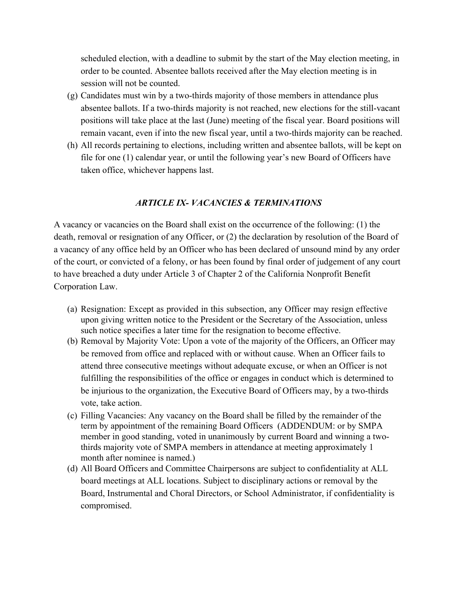scheduled election, with a deadline to submit by the start of the May election meeting, in order to be counted. Absentee ballots received after the May election meeting is in session will not be counted.

- (g) Candidates must win by a two-thirds majority of those members in attendance plus absentee ballots. If a two-thirds majority is not reached, new elections for the still-vacant positions will take place at the last (June) meeting of the fiscal year. Board positions will remain vacant, even if into the new fiscal year, until a two-thirds majority can be reached.
- (h) All records pertaining to elections, including written and absentee ballots, will be kept on file for one (1) calendar year, or until the following year's new Board of Officers have taken office, whichever happens last.

#### *ARTICLE IX- VACANCIES & TERMINATIONS*

A vacancy or vacancies on the Board shall exist on the occurrence of the following: (1) the death, removal or resignation of any Officer, or (2) the declaration by resolution of the Board of a vacancy of any office held by an Officer who has been declared of unsound mind by any order of the court, or convicted of a felony, or has been found by final order of judgement of any court to have breached a duty under Article 3 of Chapter 2 of the California Nonprofit Benefit Corporation Law.

- (a) Resignation: Except as provided in this subsection, any Officer may resign effective upon giving written notice to the President or the Secretary of the Association, unless such notice specifies a later time for the resignation to become effective.
- (b) Removal by Majority Vote: Upon a vote of the majority of the Officers, an Officer may be removed from office and replaced with or without cause. When an Officer fails to attend three consecutive meetings without adequate excuse, or when an Officer is not fulfilling the responsibilities of the office or engages in conduct which is determined to be injurious to the organization, the Executive Board of Officers may, by a two-thirds vote, take action.
- (c) Filling Vacancies: Any vacancy on the Board shall be filled by the remainder of the term by appointment of the remaining Board Officers (ADDENDUM: or by SMPA member in good standing, voted in unanimously by current Board and winning a twothirds majority vote of SMPA members in attendance at meeting approximately 1 month after nominee is named.)
- (d) All Board Officers and Committee Chairpersons are subject to confidentiality at ALL board meetings at ALL locations. Subject to disciplinary actions or removal by the Board, Instrumental and Choral Directors, or School Administrator, if confidentiality is compromised.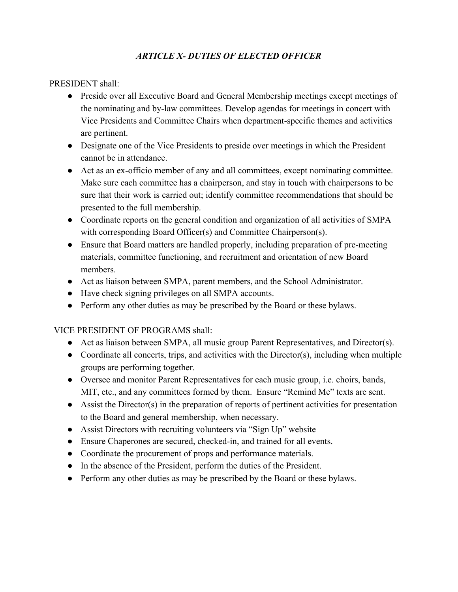## *ARTICLE X- DUTIES OF ELECTED OFFICER*

PRESIDENT shall:

- Preside over all Executive Board and General Membership meetings except meetings of the nominating and by-law committees. Develop agendas for meetings in concert with Vice Presidents and Committee Chairs when department-specific themes and activities are pertinent.
- Designate one of the Vice Presidents to preside over meetings in which the President cannot be in attendance.
- Act as an ex-officio member of any and all committees, except nominating committee. Make sure each committee has a chairperson, and stay in touch with chairpersons to be sure that their work is carried out; identify committee recommendations that should be presented to the full membership.
- Coordinate reports on the general condition and organization of all activities of SMPA with corresponding Board Officer(s) and Committee Chairperson(s).
- Ensure that Board matters are handled properly, including preparation of pre-meeting materials, committee functioning, and recruitment and orientation of new Board members.
- Act as liaison between SMPA, parent members, and the School Administrator.
- Have check signing privileges on all SMPA accounts.
- Perform any other duties as may be prescribed by the Board or these bylaws.

VICE PRESIDENT OF PROGRAMS shall:

- Act as liaison between SMPA, all music group Parent Representatives, and Director(s).
- $\bullet$  Coordinate all concerts, trips, and activities with the Director(s), including when multiple groups are performing together.
- Oversee and monitor Parent Representatives for each music group, i.e. choirs, bands, MIT, etc., and any committees formed by them. Ensure "Remind Me" texts are sent.
- Assist the Director(s) in the preparation of reports of pertinent activities for presentation to the Board and general membership, when necessary.
- Assist Directors with recruiting volunteers via "Sign Up" website
- Ensure Chaperones are secured, checked-in, and trained for all events.
- Coordinate the procurement of props and performance materials.
- In the absence of the President, perform the duties of the President.
- Perform any other duties as may be prescribed by the Board or these bylaws.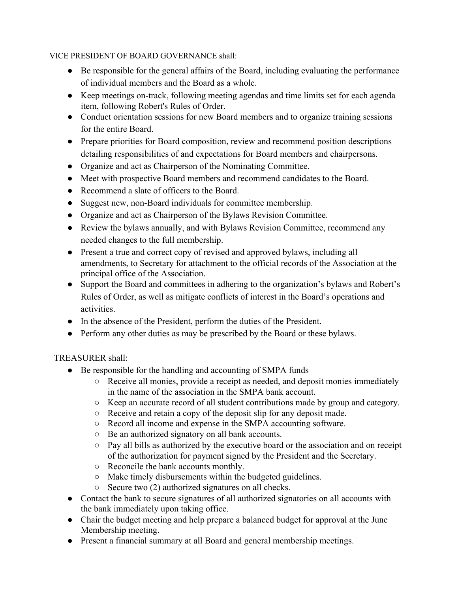#### VICE PRESIDENT OF BOARD GOVERNANCE shall:

- Be responsible for the general affairs of the Board, including evaluating the performance of individual members and the Board as a whole.
- Keep meetings on-track, following meeting agendas and time limits set for each agenda item, following Robert's Rules of Order.
- Conduct orientation sessions for new Board members and to organize training sessions for the entire Board.
- Prepare priorities for Board composition, review and recommend position descriptions detailing responsibilities of and expectations for Board members and chairpersons.
- Organize and act as Chairperson of the Nominating Committee.
- Meet with prospective Board members and recommend candidates to the Board.
- Recommend a slate of officers to the Board.
- Suggest new, non-Board individuals for committee membership.
- Organize and act as Chairperson of the Bylaws Revision Committee.
- Review the bylaws annually, and with Bylaws Revision Committee, recommend any needed changes to the full membership.
- Present a true and correct copy of revised and approved bylaws, including all amendments, to Secretary for attachment to the official records of the Association at the principal office of the Association.
- Support the Board and committees in adhering to the organization's bylaws and Robert's Rules of Order, as well as mitigate conflicts of interest in the Board's operations and activities.
- In the absence of the President, perform the duties of the President.
- Perform any other duties as may be prescribed by the Board or these bylaws.

### TREASURER shall:

- Be responsible for the handling and accounting of SMPA funds
	- Receive all monies, provide a receipt as needed, and deposit monies immediately in the name of the association in the SMPA bank account.
	- Keep an accurate record of all student contributions made by group and category.
	- Receive and retain a copy of the deposit slip for any deposit made.
	- Record all income and expense in the SMPA accounting software.
	- Be an authorized signatory on all bank accounts.
	- Pay all bills as authorized by the executive board or the association and on receipt of the authorization for payment signed by the President and the Secretary.
	- Reconcile the bank accounts monthly.
	- Make timely disbursements within the budgeted guidelines.
	- Secure two (2) authorized signatures on all checks.
- Contact the bank to secure signatures of all authorized signatories on all accounts with the bank immediately upon taking office.
- Chair the budget meeting and help prepare a balanced budget for approval at the June Membership meeting.
- Present a financial summary at all Board and general membership meetings.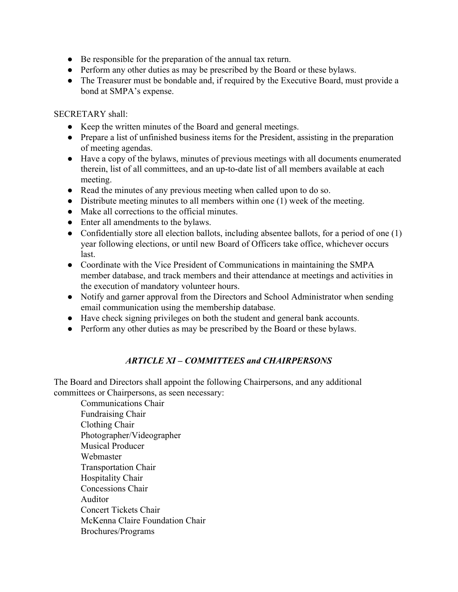- Be responsible for the preparation of the annual tax return.
- Perform any other duties as may be prescribed by the Board or these bylaws.
- The Treasurer must be bondable and, if required by the Executive Board, must provide a bond at SMPA's expense.

#### SECRETARY shall:

- Keep the written minutes of the Board and general meetings.
- Prepare a list of unfinished business items for the President, assisting in the preparation of meeting agendas.
- Have a copy of the bylaws, minutes of previous meetings with all documents enumerated therein, list of all committees, and an up-to-date list of all members available at each meeting.
- Read the minutes of any previous meeting when called upon to do so.
- Distribute meeting minutes to all members within one (1) week of the meeting.
- Make all corrections to the official minutes.
- Enter all amendments to the bylaws.
- Confidentially store all election ballots, including absentee ballots, for a period of one (1) year following elections, or until new Board of Officers take office, whichever occurs last.
- Coordinate with the Vice President of Communications in maintaining the SMPA member database, and track members and their attendance at meetings and activities in the execution of mandatory volunteer hours.
- Notify and garner approval from the Directors and School Administrator when sending email communication using the membership database.
- Have check signing privileges on both the student and general bank accounts.
- Perform any other duties as may be prescribed by the Board or these bylaws.

## *ARTICLE XI – COMMITTEES and CHAIRPERSONS*

The Board and Directors shall appoint the following Chairpersons, and any additional committees or Chairpersons, as seen necessary:

Communications Chair Fundraising Chair Clothing Chair Photographer/Videographer Musical Producer Webmaster Transportation Chair Hospitality Chair Concessions Chair Auditor Concert Tickets Chair McKenna Claire Foundation Chair Brochures/Programs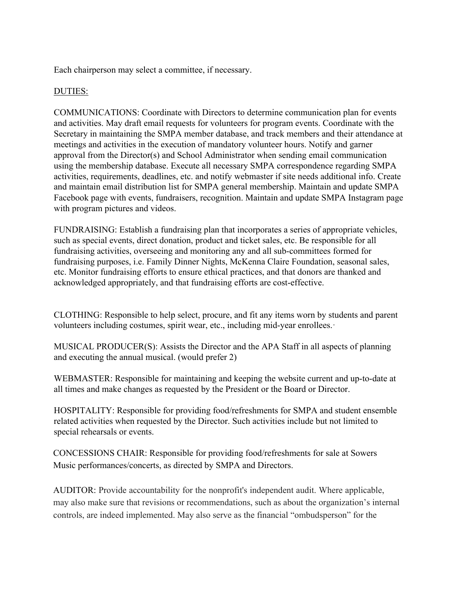Each chairperson may select a committee, if necessary.

#### DUTIES:

COMMUNICATIONS: Coordinate with Directors to determine communication plan for events and activities. May draft email requests for volunteers for program events. Coordinate with the Secretary in maintaining the SMPA member database, and track members and their attendance at meetings and activities in the execution of mandatory volunteer hours. Notify and garner approval from the Director(s) and School Administrator when sending email communication using the membership database. Execute all necessary SMPA correspondence regarding SMPA activities, requirements, deadlines, etc. and notify webmaster if site needs additional info. Create and maintain email distribution list for SMPA general membership. Maintain and update SMPA Facebook page with events, fundraisers, recognition. Maintain and update SMPA Instagram page with program pictures and videos.

FUNDRAISING: Establish a fundraising plan that incorporates a series of appropriate vehicles, such as special events, direct donation, product and ticket sales, etc. Be responsible for all fundraising activities, overseeing and monitoring any and all sub-committees formed for fundraising purposes, i.e. Family Dinner Nights, McKenna Claire Foundation, seasonal sales, etc. Monitor fundraising efforts to ensure ethical practices, and that donors are thanked and acknowledged appropriately, and that fundraising efforts are cost-effective.

CLOTHING: Responsible to help select, procure, and fit any items worn by students and parent volunteers including costumes, spirit wear, etc., including mid-year enrollees.·

MUSICAL PRODUCER(S): Assists the Director and the APA Staff in all aspects of planning and executing the annual musical. (would prefer 2)

WEBMASTER: Responsible for maintaining and keeping the website current and up-to-date at all times and make changes as requested by the President or the Board or Director.

HOSPITALITY: Responsible for providing food/refreshments for SMPA and student ensemble related activities when requested by the Director. Such activities include but not limited to special rehearsals or events.

CONCESSIONS CHAIR: Responsible for providing food/refreshments for sale at Sowers Music performances/concerts, as directed by SMPA and Directors.

AUDITOR: Provide accountability for the nonprofit's independent audit. Where applicable, may also make sure that revisions or recommendations, such as about the organization's internal controls, are indeed implemented. May also serve as the financial "ombudsperson" for the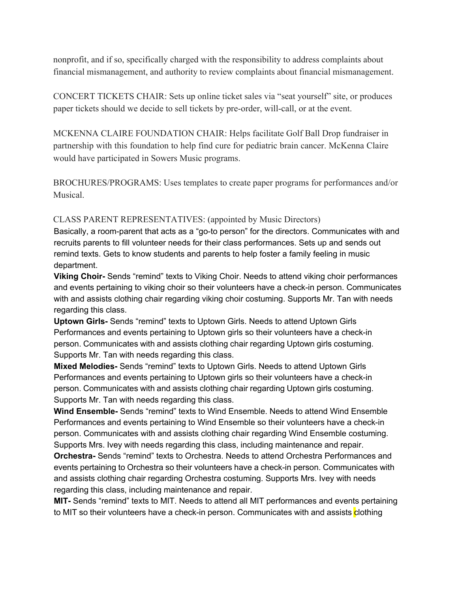nonprofit, and if so, specifically charged with the responsibility to address complaints about financial mismanagement, and authority to review complaints about financial mismanagement.

CONCERT TICKETS CHAIR: Sets up online ticket sales via "seat yourself" site, or produces paper tickets should we decide to sell tickets by pre-order, will-call, or at the event.

MCKENNA CLAIRE FOUNDATION CHAIR: Helps facilitate Golf Ball Drop fundraiser in partnership with this foundation to help find cure for pediatric brain cancer. McKenna Claire would have participated in Sowers Music programs.

BROCHURES/PROGRAMS: Uses templates to create paper programs for performances and/or Musical.

CLASS PARENT REPRESENTATIVES: (appointed by Music Directors)

Basically, a room-parent that acts as a "go-to person" for the directors. Communicates with and recruits parents to fill volunteer needs for their class performances. Sets up and sends out remind texts. Gets to know students and parents to help foster a family feeling in music department.

**Viking Choir-** Sends "remind" texts to Viking Choir. Needs to attend viking choir performances and events pertaining to viking choir so their volunteers have a check-in person. Communicates with and assists clothing chair regarding viking choir costuming. Supports Mr. Tan with needs regarding this class.

**Uptown Girls-** Sends "remind" texts to Uptown Girls. Needs to attend Uptown Girls Performances and events pertaining to Uptown girls so their volunteers have a check-in person. Communicates with and assists clothing chair regarding Uptown girls costuming. Supports Mr. Tan with needs regarding this class.

**Mixed Melodies-** Sends "remind" texts to Uptown Girls. Needs to attend Uptown Girls Performances and events pertaining to Uptown girls so their volunteers have a check-in person. Communicates with and assists clothing chair regarding Uptown girls costuming. Supports Mr. Tan with needs regarding this class.

**Wind Ensemble-** Sends "remind" texts to Wind Ensemble. Needs to attend Wind Ensemble Performances and events pertaining to Wind Ensemble so their volunteers have a check-in person. Communicates with and assists clothing chair regarding Wind Ensemble costuming. Supports Mrs. Ivey with needs regarding this class, including maintenance and repair.

**Orchestra-** Sends "remind" texts to Orchestra. Needs to attend Orchestra Performances and events pertaining to Orchestra so their volunteers have a check-in person. Communicates with and assists clothing chair regarding Orchestra costuming. Supports Mrs. Ivey with needs regarding this class, including maintenance and repair.

**MIT-** Sends "remind" texts to MIT. Needs to attend all MIT performances and events pertaining to MIT so their volunteers have a check-in person. Communicates with and assists clothing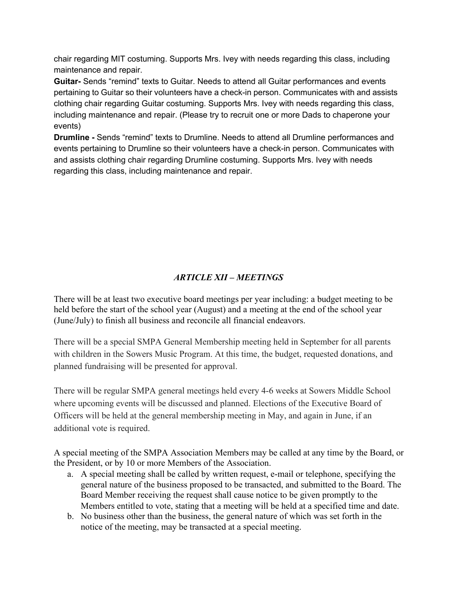chair regarding MIT costuming. Supports Mrs. Ivey with needs regarding this class, including maintenance and repair.

**Guitar-** Sends "remind" texts to Guitar. Needs to attend all Guitar performances and events pertaining to Guitar so their volunteers have a check-in person. Communicates with and assists clothing chair regarding Guitar costuming. Supports Mrs. Ivey with needs regarding this class, including maintenance and repair. (Please try to recruit one or more Dads to chaperone your events)

**Drumline -** Sends "remind" texts to Drumline. Needs to attend all Drumline performances and events pertaining to Drumline so their volunteers have a check-in person. Communicates with and assists clothing chair regarding Drumline costuming. Supports Mrs. Ivey with needs regarding this class, including maintenance and repair.

# *ARTICLE XII – MEETINGS*

There will be at least two executive board meetings per year including: a budget meeting to be held before the start of the school year (August) and a meeting at the end of the school year (June/July) to finish all business and reconcile all financial endeavors.

There will be a special SMPA General Membership meeting held in September for all parents with children in the Sowers Music Program. At this time, the budget, requested donations, and planned fundraising will be presented for approval.

There will be regular SMPA general meetings held every 4-6 weeks at Sowers Middle School where upcoming events will be discussed and planned. Elections of the Executive Board of Officers will be held at the general membership meeting in May, and again in June, if an additional vote is required.

A special meeting of the SMPA Association Members may be called at any time by the Board, or the President, or by 10 or more Members of the Association.

- a. A special meeting shall be called by written request, e-mail or telephone, specifying the general nature of the business proposed to be transacted, and submitted to the Board. The Board Member receiving the request shall cause notice to be given promptly to the Members entitled to vote, stating that a meeting will be held at a specified time and date.
- b. No business other than the business, the general nature of which was set forth in the notice of the meeting, may be transacted at a special meeting.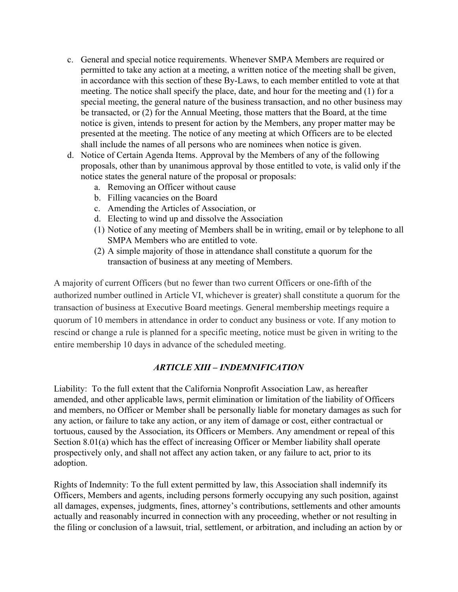- c. General and special notice requirements. Whenever SMPA Members are required or permitted to take any action at a meeting, a written notice of the meeting shall be given, in accordance with this section of these By-Laws, to each member entitled to vote at that meeting. The notice shall specify the place, date, and hour for the meeting and (1) for a special meeting, the general nature of the business transaction, and no other business may be transacted, or (2) for the Annual Meeting, those matters that the Board, at the time notice is given, intends to present for action by the Members, any proper matter may be presented at the meeting. The notice of any meeting at which Officers are to be elected shall include the names of all persons who are nominees when notice is given.
- d. Notice of Certain Agenda Items. Approval by the Members of any of the following proposals, other than by unanimous approval by those entitled to vote, is valid only if the notice states the general nature of the proposal or proposals:
	- a. Removing an Officer without cause
	- b. Filling vacancies on the Board
	- c. Amending the Articles of Association, or
	- d. Electing to wind up and dissolve the Association
	- (1) Notice of any meeting of Members shall be in writing, email or by telephone to all SMPA Members who are entitled to vote.
	- (2) A simple majority of those in attendance shall constitute a quorum for the transaction of business at any meeting of Members.

A majority of current Officers (but no fewer than two current Officers or one-fifth of the authorized number outlined in Article VI, whichever is greater) shall constitute a quorum for the transaction of business at Executive Board meetings. General membership meetings require a quorum of 10 members in attendance in order to conduct any business or vote. If any motion to rescind or change a rule is planned for a specific meeting, notice must be given in writing to the entire membership 10 days in advance of the scheduled meeting.

### *ARTICLE XIII – INDEMNIFICATION*

Liability: To the full extent that the California Nonprofit Association Law, as hereafter amended, and other applicable laws, permit elimination or limitation of the liability of Officers and members, no Officer or Member shall be personally liable for monetary damages as such for any action, or failure to take any action, or any item of damage or cost, either contractual or tortuous, caused by the Association, its Officers or Members. Any amendment or repeal of this Section 8.01(a) which has the effect of increasing Officer or Member liability shall operate prospectively only, and shall not affect any action taken, or any failure to act, prior to its adoption.

Rights of Indemnity: To the full extent permitted by law, this Association shall indemnify its Officers, Members and agents, including persons formerly occupying any such position, against all damages, expenses, judgments, fines, attorney's contributions, settlements and other amounts actually and reasonably incurred in connection with any proceeding, whether or not resulting in the filing or conclusion of a lawsuit, trial, settlement, or arbitration, and including an action by or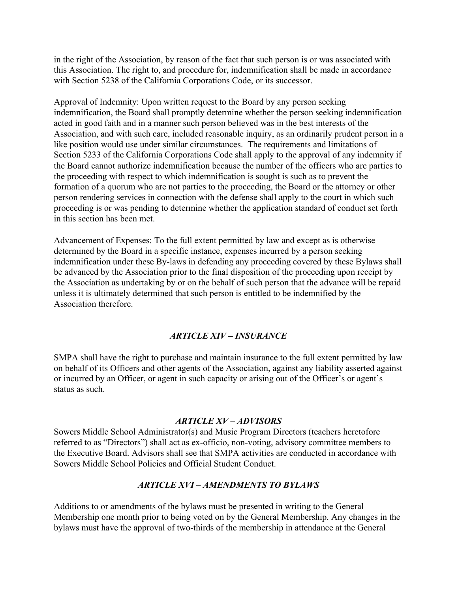in the right of the Association, by reason of the fact that such person is or was associated with this Association. The right to, and procedure for, indemnification shall be made in accordance with Section 5238 of the California Corporations Code, or its successor.

Approval of Indemnity: Upon written request to the Board by any person seeking indemnification, the Board shall promptly determine whether the person seeking indemnification acted in good faith and in a manner such person believed was in the best interests of the Association, and with such care, included reasonable inquiry, as an ordinarily prudent person in a like position would use under similar circumstances. The requirements and limitations of Section 5233 of the California Corporations Code shall apply to the approval of any indemnity if the Board cannot authorize indemnification because the number of the officers who are parties to the proceeding with respect to which indemnification is sought is such as to prevent the formation of a quorum who are not parties to the proceeding, the Board or the attorney or other person rendering services in connection with the defense shall apply to the court in which such proceeding is or was pending to determine whether the application standard of conduct set forth in this section has been met.

Advancement of Expenses: To the full extent permitted by law and except as is otherwise determined by the Board in a specific instance, expenses incurred by a person seeking indemnification under these By-laws in defending any proceeding covered by these Bylaws shall be advanced by the Association prior to the final disposition of the proceeding upon receipt by the Association as undertaking by or on the behalf of such person that the advance will be repaid unless it is ultimately determined that such person is entitled to be indemnified by the Association therefore.

### *ARTICLE XIV – INSURANCE*

SMPA shall have the right to purchase and maintain insurance to the full extent permitted by law on behalf of its Officers and other agents of the Association, against any liability asserted against or incurred by an Officer, or agent in such capacity or arising out of the Officer's or agent's status as such.

#### *ARTICLE XV – ADVISORS*

Sowers Middle School Administrator(s) and Music Program Directors (teachers heretofore referred to as "Directors") shall act as ex-officio, non-voting, advisory committee members to the Executive Board. Advisors shall see that SMPA activities are conducted in accordance with Sowers Middle School Policies and Official Student Conduct.

#### *ARTICLE XVI – AMENDMENTS TO BYLAWS*

Additions to or amendments of the bylaws must be presented in writing to the General Membership one month prior to being voted on by the General Membership. Any changes in the bylaws must have the approval of two-thirds of the membership in attendance at the General